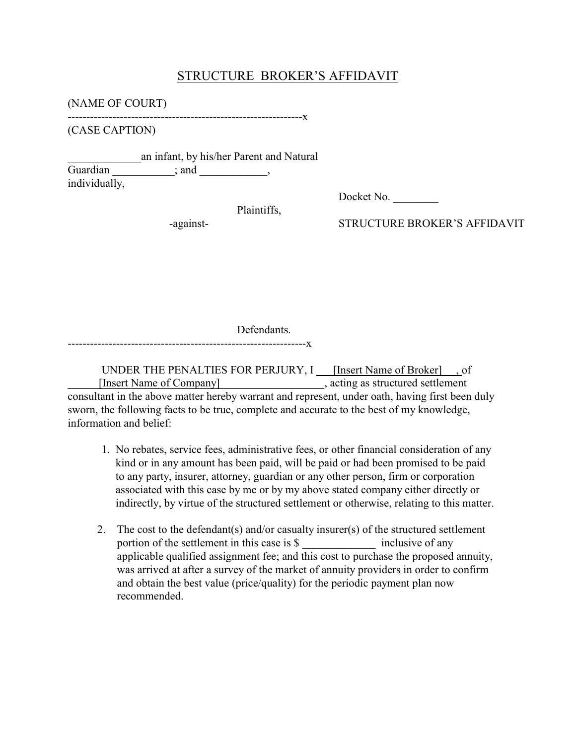## STRUCTURE BROKER'S AFFIDAVIT

(NAME OF COURT)

---------------------------------------------------------------x

(CASE CAPTION)

\_\_\_\_\_\_\_\_\_\_\_\_\_an infant, by his/her Parent and Natural Guardian \_\_\_\_\_\_\_\_\_\_; and \_\_\_\_\_\_\_\_\_\_, individually,

Plaintiffs,

Docket No.

-against-<br>STRUCTURE BROKER'S AFFIDAVIT

Defendants.

----------------------------------------------------------------x

UNDER THE PENALTIES FOR PERJURY, I [Insert Name of Broker] , of [Insert Name of Company] , acting as structured settlement consultant in the above matter hereby warrant and represent, under oath, having first been duly sworn, the following facts to be true, complete and accurate to the best of my knowledge, information and belief:

- 1. No rebates, service fees, administrative fees, or other financial consideration of any kind or in any amount has been paid, will be paid or had been promised to be paid to any party, insurer, attorney, guardian or any other person, firm or corporation associated with this case by me or by my above stated company either directly or indirectly, by virtue of the structured settlement or otherwise, relating to this matter.
- 2. The cost to the defendant(s) and/or casualty insurer(s) of the structured settlement portion of the settlement in this case is \$ \_\_\_\_\_\_\_\_\_\_\_\_\_ inclusive of any applicable qualified assignment fee; and this cost to purchase the proposed annuity, was arrived at after a survey of the market of annuity providers in order to confirm and obtain the best value (price/quality) for the periodic payment plan now recommended.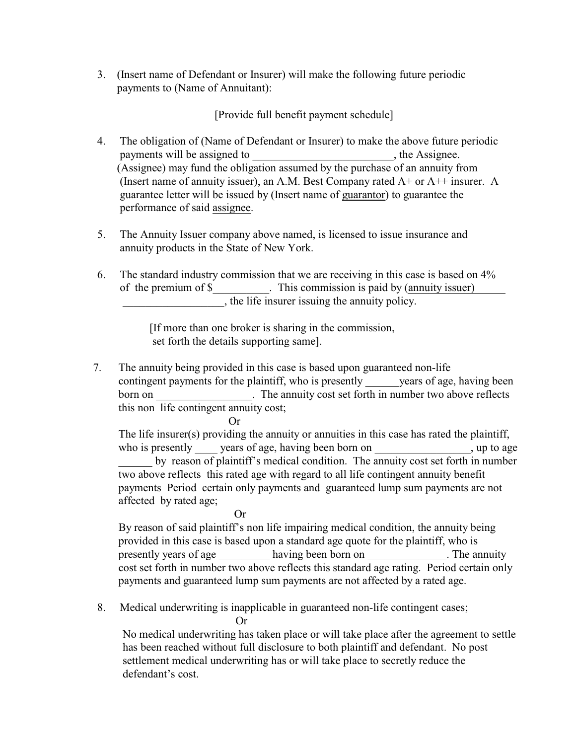3. (Insert name of Defendant or Insurer) will make the following future periodic payments to (Name of Annuitant):

[Provide full benefit payment schedule]

- 4. The obligation of (Name of Defendant or Insurer) to make the above future periodic payments will be assigned to (Assignee) may fund the obligation assumed by the purchase of an annuity from (Insert name of annuity issuer), an A.M. Best Company rated A+ or A++ insurer. A guarantee letter will be issued by (Insert name of guarantor) to guarantee the performance of said assignee.
- 5. The Annuity Issuer company above named, is licensed to issue insurance and annuity products in the State of New York.
- 6. The standard industry commission that we are receiving in this case is based on 4% of the premium of \$ This commission is paid by (annuity issuer) \_\_\_\_\_\_\_\_\_\_\_\_\_\_\_\_\_\_, the life insurer issuing the annuity policy.

 [If more than one broker is sharing in the commission, set forth the details supporting same].

7. The annuity being provided in this case is based upon guaranteed non-life contingent payments for the plaintiff, who is presently vears of age, having been born on The annuity cost set forth in number two above reflects this non life contingent annuity cost;

Or

The life insurer(s) providing the annuity or annuities in this case has rated the plaintiff, who is presently years of age, having been born on , up to age by reason of plaintiff's medical condition. The annuity cost set forth in number two above reflects this rated age with regard to all life contingent annuity benefit payments Period certain only payments and guaranteed lump sum payments are not affected by rated age;

Or

By reason of said plaintiff's non life impairing medical condition, the annuity being provided in this case is based upon a standard age quote for the plaintiff, who is presently years of age having been born on \_\_\_\_\_\_\_\_\_\_\_\_. The annuity cost set forth in number two above reflects this standard age rating. Period certain only payments and guaranteed lump sum payments are not affected by a rated age.

8. Medical underwriting is inapplicable in guaranteed non-life contingent cases;

Or

No medical underwriting has taken place or will take place after the agreement to settle has been reached without full disclosure to both plaintiff and defendant. No post settlement medical underwriting has or will take place to secretly reduce the defendant's cost.